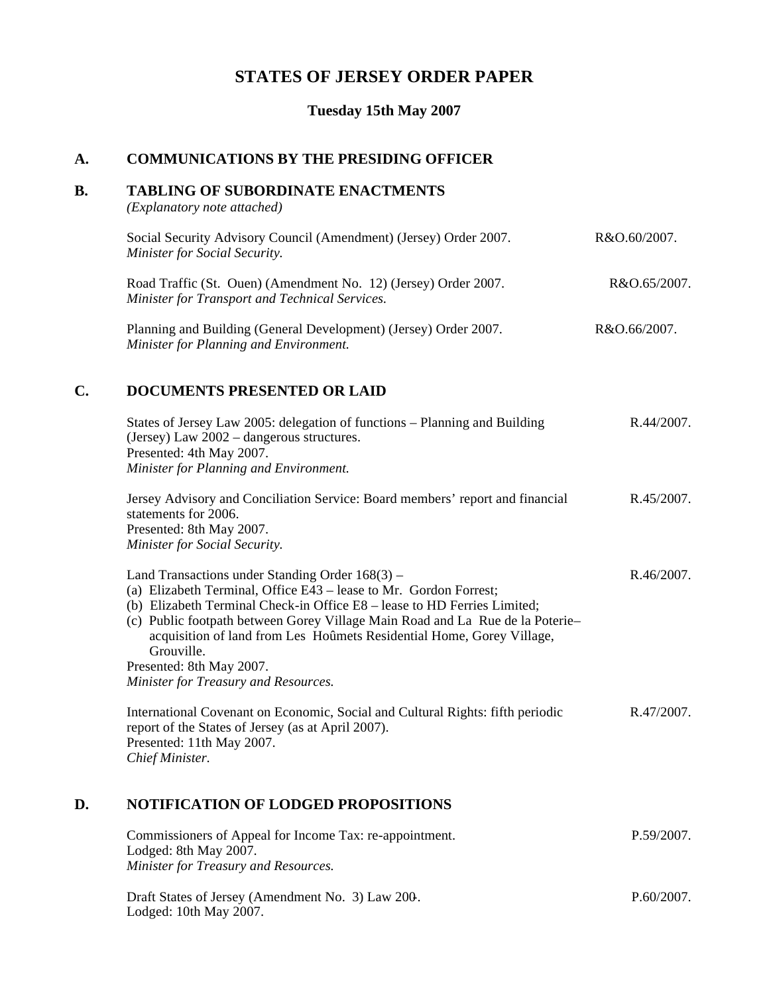# **STATES OF JERSEY ORDER PAPER**

**Tuesday 15th May 2007**

# **A. COMMUNICATIONS BY THE PRESIDING OFFICER**

## **B. TABLING OF SUBORDINATE ENACTMENTS**

*(Explanatory note attached)*

| Social Security Advisory Council (Amendment) (Jersey) Order 2007. | R&O.60/2007. |
|-------------------------------------------------------------------|--------------|
| Minister for Social Security.                                     |              |
|                                                                   |              |

Road Traffic (St. Ouen) (Amendment No. 12) (Jersey) Order 2007. *Minister for Transport and Technical Services.* R&O.65/2007.

Planning and Building (General Development) (Jersey) Order 2007. *Minister for Planning and Environment.* R&O.66/2007.

# **C. DOCUMENTS PRESENTED OR LAID**

|    | States of Jersey Law 2005: delegation of functions – Planning and Building<br>(Jersey) Law 2002 - dangerous structures.<br>Presented: 4th May 2007.                                                                                                                                                                                                                        | R.44/2007.    |
|----|----------------------------------------------------------------------------------------------------------------------------------------------------------------------------------------------------------------------------------------------------------------------------------------------------------------------------------------------------------------------------|---------------|
|    | Minister for Planning and Environment.                                                                                                                                                                                                                                                                                                                                     |               |
|    | Jersey Advisory and Conciliation Service: Board members' report and financial<br>statements for 2006.<br>Presented: 8th May 2007.<br>Minister for Social Security.                                                                                                                                                                                                         | $R.45/2007$ . |
|    | Land Transactions under Standing Order $168(3)$ –<br>(a) Elizabeth Terminal, Office E43 – lease to Mr. Gordon Forrest;<br>(b) Elizabeth Terminal Check-in Office E8 – lease to HD Ferries Limited;<br>(c) Public footpath between Gorey Village Main Road and La Rue de la Poterie-<br>acquisition of land from Les Hoûmets Residential Home, Gorey Village,<br>Grouville. | R.46/2007.    |
|    | Presented: 8th May 2007.                                                                                                                                                                                                                                                                                                                                                   |               |
|    | Minister for Treasury and Resources.                                                                                                                                                                                                                                                                                                                                       |               |
|    | International Covenant on Economic, Social and Cultural Rights: fifth periodic<br>report of the States of Jersey (as at April 2007).<br>Presented: 11th May 2007.<br>Chief Minister.                                                                                                                                                                                       | R.47/2007.    |
| D. | <b>NOTIFICATION OF LODGED PROPOSITIONS</b>                                                                                                                                                                                                                                                                                                                                 |               |
|    | Commissioners of Appeal for Income Tax: re-appointment.<br>Lodged: 8th May 2007.                                                                                                                                                                                                                                                                                           | P.59/2007.    |

*Minister for Treasury and Resources.*

Draft States of Jersey (Amendment No. 3) Law 200-. Lodged: 10th May 2007.

P.60/2007.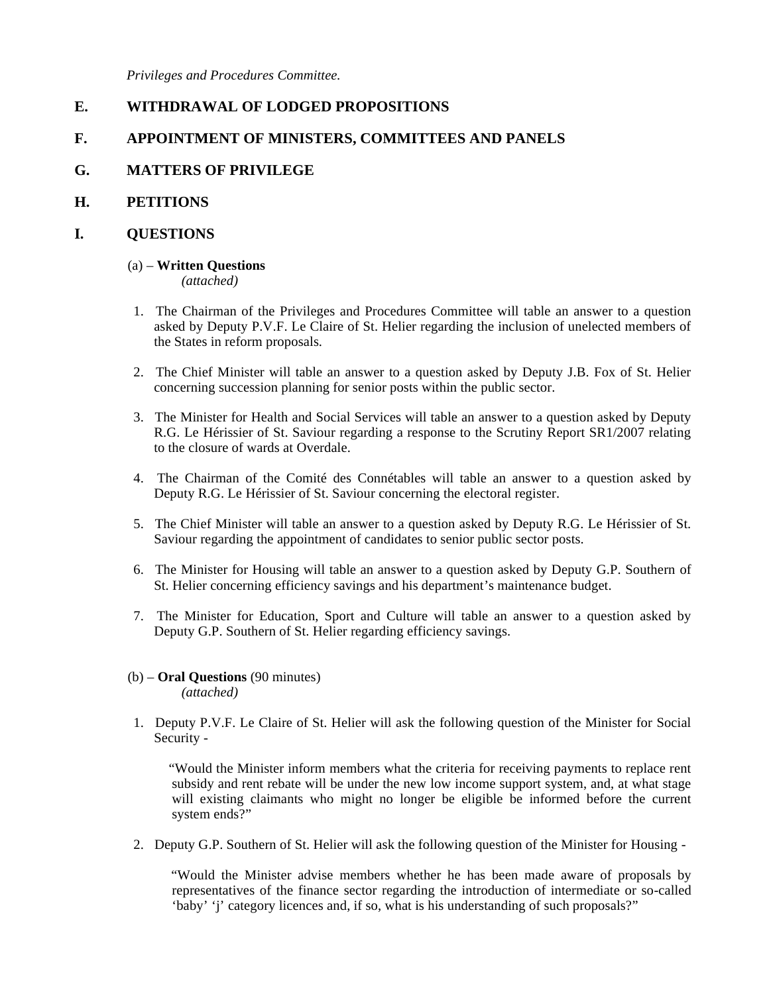*Privileges and Procedures Committee.*

# **E. WITHDRAWAL OF LODGED PROPOSITIONS**

# **F. APPOINTMENT OF MINISTERS, COMMITTEES AND PANELS**

# **G. MATTERS OF PRIVILEGE**

## **H. PETITIONS**

## **I. QUESTIONS**

## (a) – **Written Questions**

*(attached)*

- 1. The Chairman of the Privileges and Procedures Committee will table an answer to a question asked by Deputy P.V.F. Le Claire of St. Helier regarding the inclusion of unelected members of the States in reform proposals.
- 2. The Chief Minister will table an answer to a question asked by Deputy J.B. Fox of St. Helier concerning succession planning for senior posts within the public sector.
- 3. The Minister for Health and Social Services will table an answer to a question asked by Deputy R.G. Le Hérissier of St. Saviour regarding a response to the Scrutiny Report SR1/2007 relating to the closure of wards at Overdale.
- 4. The Chairman of the Comité des Connétables will table an answer to a question asked by Deputy R.G. Le Hérissier of St. Saviour concerning the electoral register.
- 5. The Chief Minister will table an answer to a question asked by Deputy R.G. Le Hérissier of St. Saviour regarding the appointment of candidates to senior public sector posts.
- 6. The Minister for Housing will table an answer to a question asked by Deputy G.P. Southern of St. Helier concerning efficiency savings and his department's maintenance budget.
- 7. The Minister for Education, Sport and Culture will table an answer to a question asked by Deputy G.P. Southern of St. Helier regarding efficiency savings.
- (b) **Oral Questions** (90 minutes) *(attached)*
- 1. Deputy P.V.F. Le Claire of St. Helier will ask the following question of the Minister for Social Security -

 "Would the Minister inform members what the criteria for receiving payments to replace rent subsidy and rent rebate will be under the new low income support system, and, at what stage will existing claimants who might no longer be eligible be informed before the current system ends?"

2. Deputy G.P. Southern of St. Helier will ask the following question of the Minister for Housing -

 "Would the Minister advise members whether he has been made aware of proposals by representatives of the finance sector regarding the introduction of intermediate or so-called 'baby' 'j' category licences and, if so, what is his understanding of such proposals?"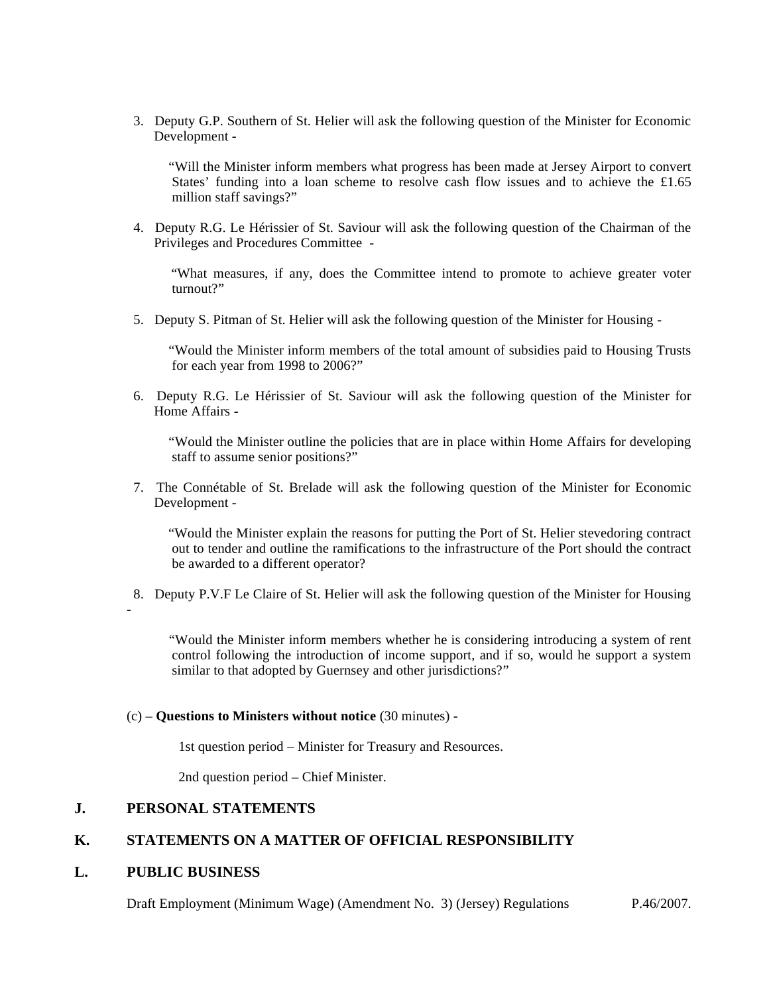3. Deputy G.P. Southern of St. Helier will ask the following question of the Minister for Economic Development -

 "Will the Minister inform members what progress has been made at Jersey Airport to convert States' funding into a loan scheme to resolve cash flow issues and to achieve the £1.65 million staff savings?"

 4. Deputy R.G. Le Hérissier of St. Saviour will ask the following question of the Chairman of the Privileges and Procedures Committee -

 "What measures, if any, does the Committee intend to promote to achieve greater voter turnout?"

5. Deputy S. Pitman of St. Helier will ask the following question of the Minister for Housing -

 "Would the Minister inform members of the total amount of subsidies paid to Housing Trusts for each year from 1998 to 2006?"

 6. Deputy R.G. Le Hérissier of St. Saviour will ask the following question of the Minister for Home Affairs -

 "Would the Minister outline the policies that are in place within Home Affairs for developing staff to assume senior positions?"

 7. The Connétable of St. Brelade will ask the following question of the Minister for Economic Development -

 "Would the Minister explain the reasons for putting the Port of St. Helier stevedoring contract out to tender and outline the ramifications to the infrastructure of the Port should the contract be awarded to a different operator?

8. Deputy P.V.F Le Claire of St. Helier will ask the following question of the Minister for Housing

 "Would the Minister inform members whether he is considering introducing a system of rent control following the introduction of income support, and if so, would he support a system similar to that adopted by Guernsey and other jurisdictions?"

#### (c) – **Questions to Ministers without notice** (30 minutes) -

1st question period – Minister for Treasury and Resources.

2nd question period – Chief Minister.

# **J. PERSONAL STATEMENTS**

## **K. STATEMENTS ON A MATTER OF OFFICIAL RESPONSIBILITY**

#### **L. PUBLIC BUSINESS**

-

Draft Employment (Minimum Wage) (Amendment No. 3) (Jersey) Regulations P.46/2007.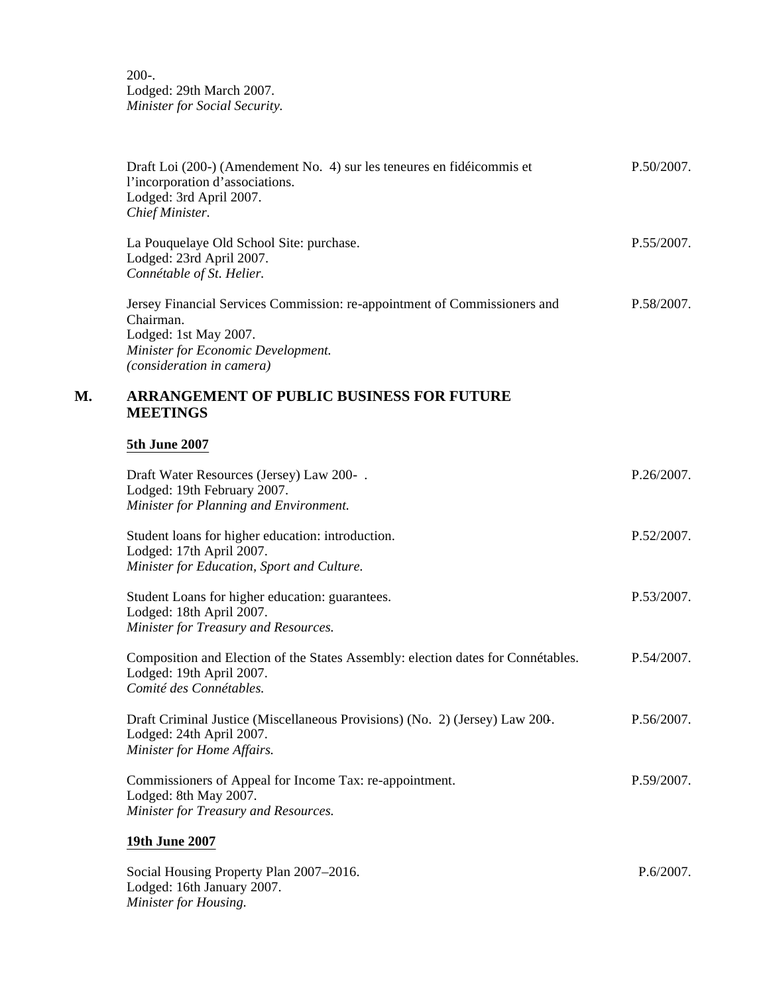200-. Lodged: 29th March 2007. *Minister for Social Security.*

|    | Draft Loi (200-) (Amendement No. 4) sur les teneures en fidéicommis et<br>l'incorporation d'associations.<br>Lodged: 3rd April 2007.<br>Chief Minister.                            | P.50/2007. |
|----|------------------------------------------------------------------------------------------------------------------------------------------------------------------------------------|------------|
|    | La Pouquelaye Old School Site: purchase.<br>Lodged: 23rd April 2007.<br>Connétable of St. Helier.                                                                                  | P.55/2007. |
|    | Jersey Financial Services Commission: re-appointment of Commissioners and<br>Chairman.<br>Lodged: 1st May 2007.<br>Minister for Economic Development.<br>(consideration in camera) | P.58/2007. |
| М. | <b>ARRANGEMENT OF PUBLIC BUSINESS FOR FUTURE</b><br><b>MEETINGS</b>                                                                                                                |            |
|    | <b>5th June 2007</b>                                                                                                                                                               |            |
|    | Draft Water Resources (Jersey) Law 200-.<br>Lodged: 19th February 2007.<br>Minister for Planning and Environment.                                                                  | P.26/2007. |
|    | Student loans for higher education: introduction.<br>Lodged: 17th April 2007.<br>Minister for Education, Sport and Culture.                                                        | P.52/2007. |
|    | Student Loans for higher education: guarantees.<br>Lodged: 18th April 2007.<br>Minister for Treasury and Resources.                                                                | P.53/2007. |
|    | Composition and Election of the States Assembly: election dates for Connétables.<br>Lodged: 19th April 2007.<br>Comité des Connétables.                                            | P.54/2007. |
|    | Draft Criminal Justice (Miscellaneous Provisions) (No. 2) (Jersey) Law 200.<br>Lodged: 24th April 2007.<br>Minister for Home Affairs.                                              | P.56/2007. |
|    | Commissioners of Appeal for Income Tax: re-appointment.<br>Lodged: 8th May 2007.<br>Minister for Treasury and Resources.                                                           | P.59/2007. |
|    | 19th June 2007                                                                                                                                                                     |            |
|    | Social Housing Property Plan 2007-2016.<br>Lodged: 16th January 2007.<br>Minister for Housing.                                                                                     | P.6/2007.  |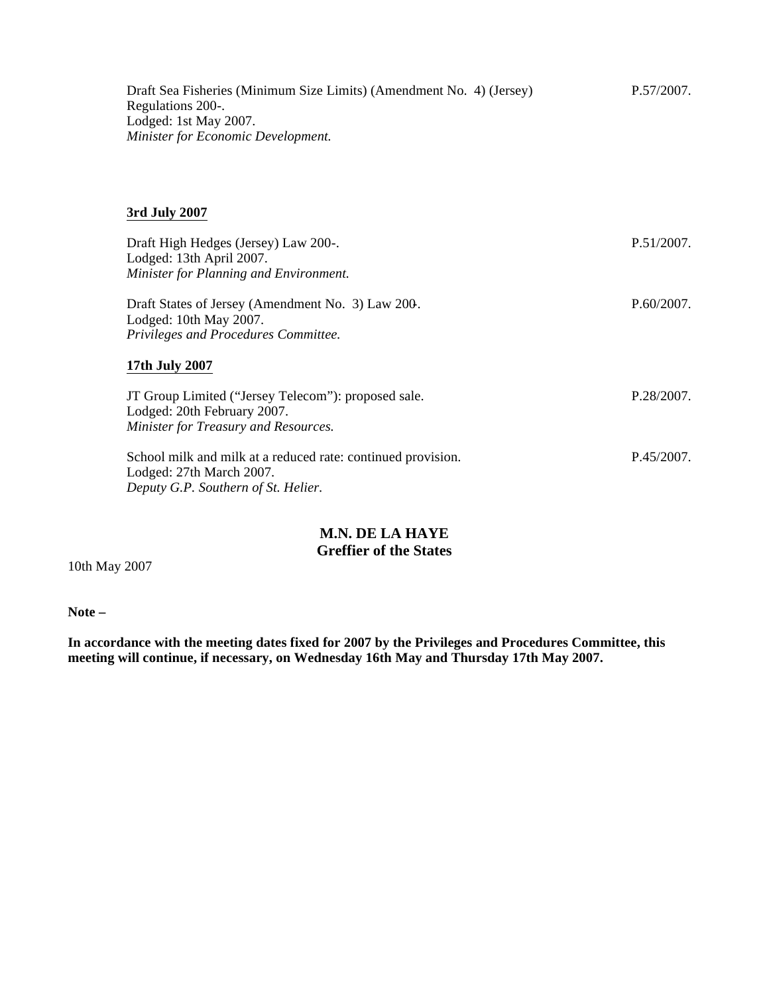Draft Sea Fisheries (Minimum Size Limits) (Amendment No. 4) (Jersey) Regulations 200-. Lodged: 1st May 2007. *Minister for Economic Development.* P.57/2007.

## **3rd July 2007**

| Draft High Hedges (Jersey) Law 200-.<br>Lodged: 13th April 2007.<br>Minister for Planning and Environment.                      | P.51/2007.    |
|---------------------------------------------------------------------------------------------------------------------------------|---------------|
| Draft States of Jersey (Amendment No. 3) Law 200.<br>Lodged: 10th May 2007.                                                     | P.60/2007.    |
| Privileges and Procedures Committee.                                                                                            |               |
| 17th July 2007                                                                                                                  |               |
| JT Group Limited ("Jersey Telecom"): proposed sale.<br>Lodged: 20th February 2007.<br>Minister for Treasury and Resources.      | P.28/2007.    |
| School milk and milk at a reduced rate: continued provision.<br>Lodged: 27th March 2007.<br>Deputy G.P. Southern of St. Helier. | $P.45/2007$ . |

# **M.N. DE LA HAYE Greffier of the States**

10th May 2007

**Note –**

**In accordance with the meeting dates fixed for 2007 by the Privileges and Procedures Committee, this meeting will continue, if necessary, on Wednesday 16th May and Thursday 17th May 2007.**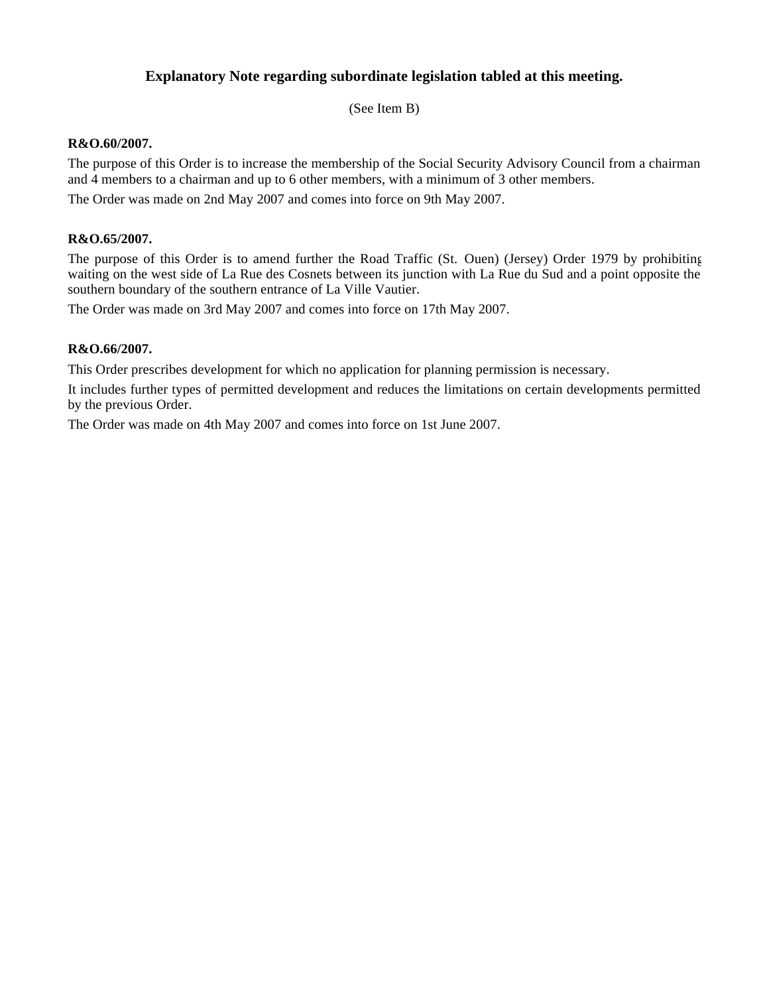# **Explanatory Note regarding subordinate legislation tabled at this meeting.**

(See Item B)

### **R&O.60/2007.**

The purpose of this Order is to increase the membership of the Social Security Advisory Council from a chairman and 4 members to a chairman and up to 6 other members, with a minimum of 3 other members.

The Order was made on 2nd May 2007 and comes into force on 9th May 2007.

### **R&O.65/2007.**

The purpose of this Order is to amend further the Road Traffic (St. Ouen) (Jersey) Order 1979 by prohibiting waiting on the west side of La Rue des Cosnets between its junction with La Rue du Sud and a point opposite the southern boundary of the southern entrance of La Ville Vautier.

The Order was made on 3rd May 2007 and comes into force on 17th May 2007.

## **R&O.66/2007.**

This Order prescribes development for which no application for planning permission is necessary.

It includes further types of permitted development and reduces the limitations on certain developments permitted by the previous Order.

The Order was made on 4th May 2007 and comes into force on 1st June 2007.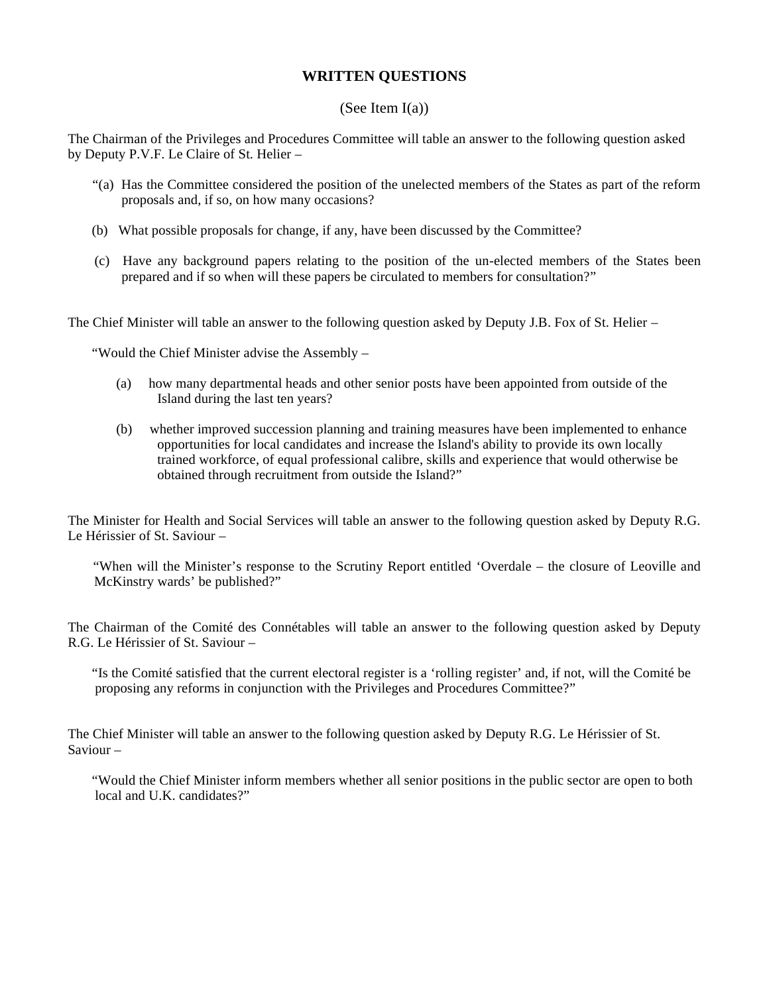# **WRITTEN QUESTIONS**

## (See Item  $I(a)$ )

The Chairman of the Privileges and Procedures Committee will table an answer to the following question asked by Deputy P.V.F. Le Claire of St. Helier –

- "(a) Has the Committee considered the position of the unelected members of the States as part of the reform proposals and, if so, on how many occasions?
- (b) What possible proposals for change, if any, have been discussed by the Committee?
- (c) Have any background papers relating to the position of the un-elected members of the States been prepared and if so when will these papers be circulated to members for consultation?"

The Chief Minister will table an answer to the following question asked by Deputy J.B. Fox of St. Helier –

"Would the Chief Minister advise the Assembly –

- (a) how many departmental heads and other senior posts have been appointed from outside of the Island during the last ten years?
- (b) whether improved succession planning and training measures have been implemented to enhance opportunities for local candidates and increase the Island's ability to provide its own locally trained workforce, of equal professional calibre, skills and experience that would otherwise be obtained through recruitment from outside the Island?"

The Minister for Health and Social Services will table an answer to the following question asked by Deputy R.G. Le Hérissier of St. Saviour –

 "When will the Minister's response to the Scrutiny Report entitled 'Overdale – the closure of Leoville and McKinstry wards' be published?"

The Chairman of the Comité des Connétables will table an answer to the following question asked by Deputy R.G. Le Hérissier of St. Saviour –

 "Is the Comité satisfied that the current electoral register is a 'rolling register' and, if not, will the Comité be proposing any reforms in conjunction with the Privileges and Procedures Committee?"

The Chief Minister will table an answer to the following question asked by Deputy R.G. Le Hérissier of St. Saviour –

 "Would the Chief Minister inform members whether all senior positions in the public sector are open to both local and U.K. candidates?"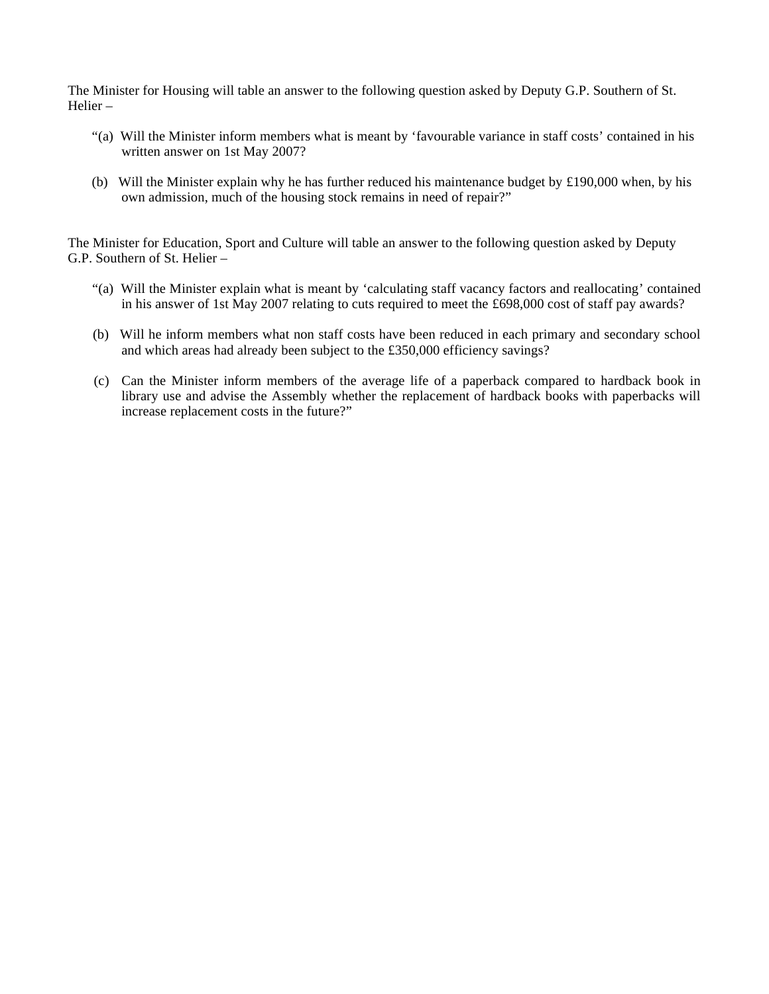The Minister for Housing will table an answer to the following question asked by Deputy G.P. Southern of St. Helier –

- "(a) Will the Minister inform members what is meant by 'favourable variance in staff costs' contained in his written answer on 1st May 2007?
- (b) Will the Minister explain why he has further reduced his maintenance budget by £190,000 when, by his own admission, much of the housing stock remains in need of repair?"

The Minister for Education, Sport and Culture will table an answer to the following question asked by Deputy G.P. Southern of St. Helier –

- "(a) Will the Minister explain what is meant by 'calculating staff vacancy factors and reallocating' contained in his answer of 1st May 2007 relating to cuts required to meet the £698,000 cost of staff pay awards?
- (b) Will he inform members what non staff costs have been reduced in each primary and secondary school and which areas had already been subject to the £350,000 efficiency savings?
- (c) Can the Minister inform members of the average life of a paperback compared to hardback book in library use and advise the Assembly whether the replacement of hardback books with paperbacks will increase replacement costs in the future?"